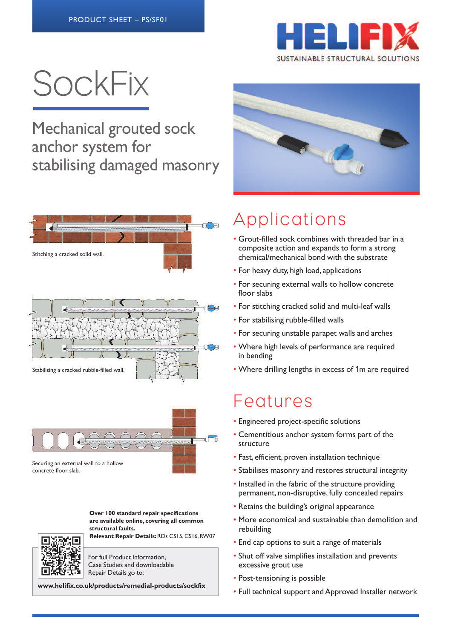

# **SockFix**

Mechanical grouted sock anchor system for stabilising damaged masonry







**Over 100 standard repair specifications are available online, covering all common structural faults. Relevant Repair Details:**RDs CS15, CS16,RW07

For full Product Information, Case Studies and downloadable

Repair Details go to:

**www.helifix.co.uk/products/remedial-products/sockfix**



## Applications

- Grout-filled sock combines with threaded bar in a composite action and expands to form a strong chemical/mechanical bond with the substrate
- For heavy duty, high load, applications
- For securing external walls to hollow concrete floor slabs
- For stitching cracked solid and multi-leaf walls
- For stabilising rubble-filled walls
- For securing unstable parapet walls and arches
- Where high levels of performance are required in bending
- Where drilling lengths in excess of 1m are required

### Features

- Engineered project-specific solutions
- Cementitious anchor system forms part of the structure
- Fast, efficient, proven installation technique
- Stabilises masonry and restores structural integrity
- Installed in the fabric of the structure providing permanent, non-disruptive, fully concealed repairs
- Retains the building's original appearance
- More economical and sustainable than demolition and rebuilding
- End cap options to suit a range of materials
- Shut off valve simplifies installation and prevents excessive grout use
- Post-tensioning is possible
- Full technical support and Approved Installer network